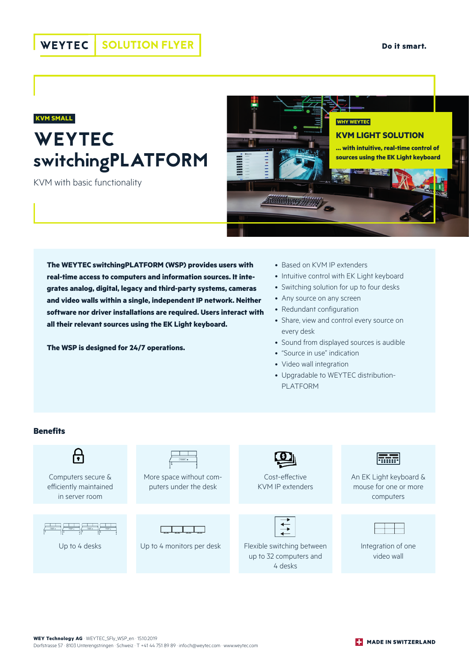#### WEYTEC SOLUTION FLYER

## **WEYTEC** switchingPLATFORM **KVM SMALL**

KVM with basic functionality



**The WEYTEC switchingPLATFORM (WSP) provides users with real-time access to computers and information sources. It integrates analog, digital, legacy and third-party systems, cameras and video walls within a single, independent IP network. Neither software nor driver installations are required. Users interact with all their relevant sources using the EK Light keyboard.** 

**The WSP is designed for 24/7 operations.**

- Based on KVM IP extenders
- Intuitive control with EK Light keyboard
- Switching solution for up to four desks
- Any source on any screen
- Redundant configuration
- Share, view and control every source on every desk
- Sound from displayed sources is audible
- "Source in use" indication
- Video wall integration
- Upgradable to WEYTEC distribution-PLATFORM

#### **Benefits**